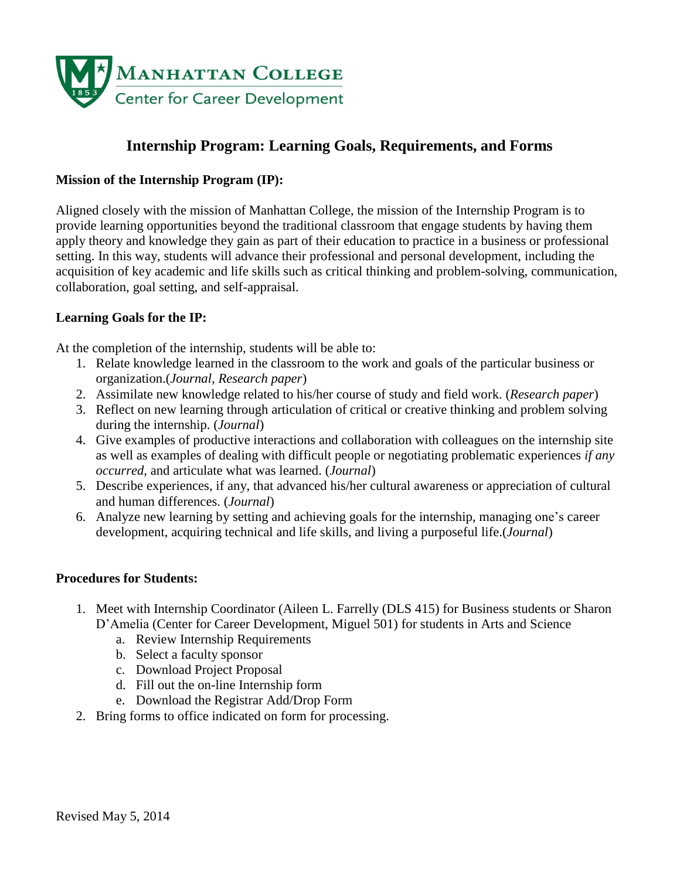

# **Internship Program: Learning Goals, Requirements, and Forms**

### **Mission of the Internship Program (IP):**

Aligned closely with the mission of Manhattan College, the mission of the Internship Program is to provide learning opportunities beyond the traditional classroom that engage students by having them apply theory and knowledge they gain as part of their education to practice in a business or professional setting. In this way, students will advance their professional and personal development, including the acquisition of key academic and life skills such as critical thinking and problem-solving, communication, collaboration, goal setting, and self-appraisal.

#### **Learning Goals for the IP:**

At the completion of the internship, students will be able to:

- 1. Relate knowledge learned in the classroom to the work and goals of the particular business or organization.(*Journal, Research paper*)
- 2. Assimilate new knowledge related to his/her course of study and field work. (*Research paper*)
- 3. Reflect on new learning through articulation of critical or creative thinking and problem solving during the internship. (*Journal*)
- 4. Give examples of productive interactions and collaboration with colleagues on the internship site as well as examples of dealing with difficult people or negotiating problematic experiences *if any occurred,* and articulate what was learned. (*Journal*)
- 5. Describe experiences, if any, that advanced his/her cultural awareness or appreciation of cultural and human differences. (*Journal*)
- 6. Analyze new learning by setting and achieving goals for the internship, managing one's career development, acquiring technical and life skills, and living a purposeful life.(*Journal*)

#### **Procedures for Students:**

- 1. Meet with Internship Coordinator (Aileen L. Farrelly (DLS 415) for Business students or Sharon D'Amelia (Center for Career Development, Miguel 501) for students in Arts and Science
	- a. Review Internship Requirements
	- b. Select a faculty sponsor
	- c. Download Project Proposal
	- d. Fill out the on-line Internship form
	- e. Download the Registrar Add/Drop Form
- 2. Bring forms to office indicated on form for processing.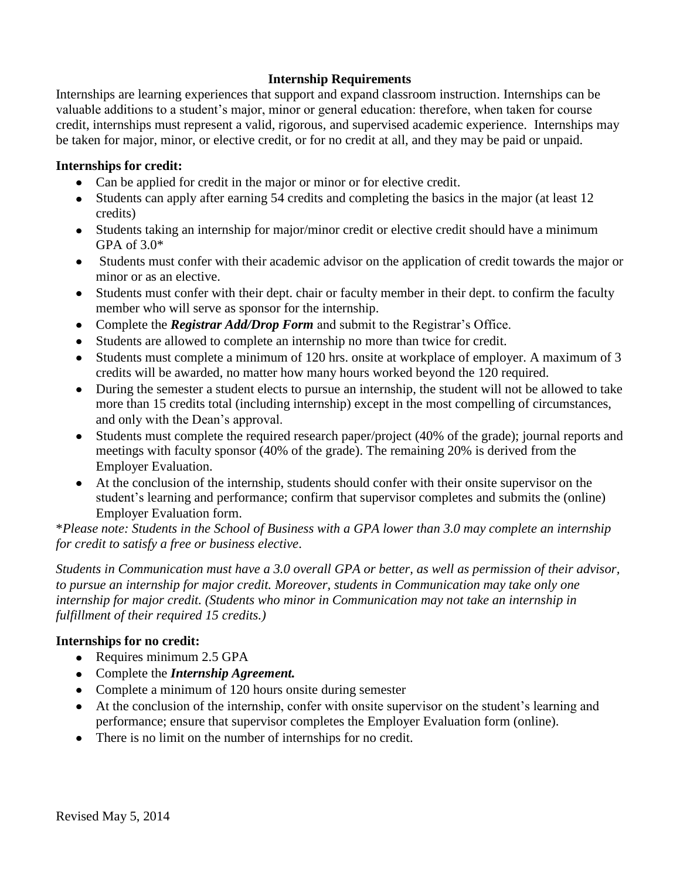## **Internship Requirements**

Internships are learning experiences that support and expand classroom instruction. Internships can be valuable additions to a student's major, minor or general education: therefore, when taken for course credit, internships must represent a valid, rigorous, and supervised academic experience. Internships may be taken for major, minor, or elective credit, or for no credit at all, and they may be paid or unpaid.

#### **Internships for credit:**

- Can be applied for credit in the major or minor or for elective credit.
- Students can apply after earning 54 credits and completing the basics in the major (at least 12 credits)
- Students taking an internship for major/minor credit or elective credit should have a minimum GPA of 3.0\*
- Students must confer with their academic advisor on the application of credit towards the major or minor or as an elective.
- Students must confer with their dept. chair or faculty member in their dept. to confirm the faculty member who will serve as sponsor for the internship.
- Complete the *Registrar Add/Drop Form* and submit to the Registrar's Office.
- Students are allowed to complete an internship no more than twice for credit.
- Students must complete a minimum of 120 hrs. onsite at workplace of employer. A maximum of 3 credits will be awarded, no matter how many hours worked beyond the 120 required.
- During the semester a student elects to pursue an internship, the student will not be allowed to take more than 15 credits total (including internship) except in the most compelling of circumstances, and only with the Dean's approval.
- Students must complete the required research paper/project (40% of the grade); journal reports and  $\bullet$ meetings with faculty sponsor (40% of the grade). The remaining 20% is derived from the Employer Evaluation.
- At the conclusion of the internship, students should confer with their onsite supervisor on the  $\bullet$ student's learning and performance; confirm that supervisor completes and submits the (online) Employer Evaluation form.

\**Please note: Students in the School of Business with a GPA lower than 3.0 may complete an internship for credit to satisfy a free or business elective*.

*Students in Communication must have a 3.0 overall GPA or better, as well as permission of their advisor, to pursue an internship for major credit. Moreover, students in Communication may take only one internship for major credit. (Students who minor in Communication may not take an internship in fulfillment of their required 15 credits.)*

## **Internships for no credit:**

- Requires minimum 2.5 GPA
- Complete the *Internship Agreement.*
- Complete a minimum of 120 hours onsite during semester
- At the conclusion of the internship, confer with onsite supervisor on the student's learning and performance; ensure that supervisor completes the Employer Evaluation form (online).
- There is no limit on the number of internships for no credit.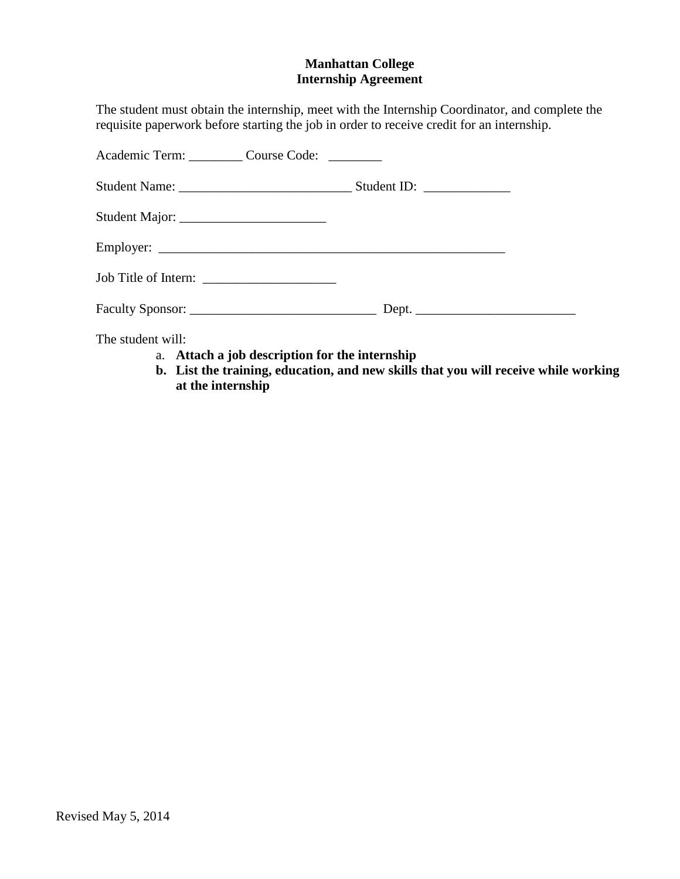## **Manhattan College Internship Agreement**

The student must obtain the internship, meet with the Internship Coordinator, and complete the requisite paperwork before starting the job in order to receive credit for an internship.

| Academic Term: Course Code: _______ |  |
|-------------------------------------|--|
|                                     |  |
|                                     |  |
|                                     |  |
|                                     |  |
|                                     |  |
| The student will:                   |  |

- a. **Attach a job description for the internship**
- **b. List the training, education, and new skills that you will receive while working at the internship**